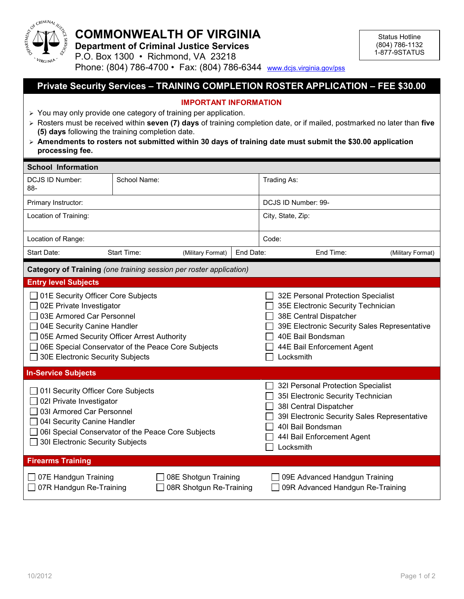

## **COMMONWEALTH OF VIRGINIA**

**Department of Criminal Justice Services**

Status Hotline (804) 786-1132 1-877-9STATUS

P.O. Box 1300 • Richmond, VA 23218 Phone: (804) 786-4700 • Fax: (804) 786-6344 [www.dcjs.virginia.gov/pss](http://www.djcs.virginia.gov/pss)

## **Private Security Services – TRAINING COMPLETION ROSTER APPLICATION – FEE \$30.00**

## **IMPORTANT INFORMATION**

- $\geq$  You may only provide one category of training per application.
- Rosters must be received within **seven (7) days** of training completion date, or if mailed, postmarked no later than **five (5) days** following the training completion date.
- **Amendments to rosters not submitted within 30 days of training date must submit the \$30.00 application processing fee.**

| <b>School Information</b>                                                                                                                                                                                                                                           |              |                                                 |                                                                                                                                                                                                                    |                                                                                                                                                                                                                    |  |  |
|---------------------------------------------------------------------------------------------------------------------------------------------------------------------------------------------------------------------------------------------------------------------|--------------|-------------------------------------------------|--------------------------------------------------------------------------------------------------------------------------------------------------------------------------------------------------------------------|--------------------------------------------------------------------------------------------------------------------------------------------------------------------------------------------------------------------|--|--|
| <b>DCJS ID Number:</b><br>88-                                                                                                                                                                                                                                       | School Name: |                                                 |                                                                                                                                                                                                                    | Trading As:                                                                                                                                                                                                        |  |  |
| Primary Instructor:                                                                                                                                                                                                                                                 |              |                                                 | DCJS ID Number: 99-                                                                                                                                                                                                |                                                                                                                                                                                                                    |  |  |
| Location of Training:                                                                                                                                                                                                                                               |              |                                                 | City, State, Zip:                                                                                                                                                                                                  |                                                                                                                                                                                                                    |  |  |
| Location of Range:                                                                                                                                                                                                                                                  |              |                                                 | Code:                                                                                                                                                                                                              |                                                                                                                                                                                                                    |  |  |
| Start Date:                                                                                                                                                                                                                                                         | Start Time:  | (Military Format)                               | End Date:                                                                                                                                                                                                          | End Time:<br>(Military Format)                                                                                                                                                                                     |  |  |
| Category of Training (one training session per roster application)                                                                                                                                                                                                  |              |                                                 |                                                                                                                                                                                                                    |                                                                                                                                                                                                                    |  |  |
| <b>Entry level Subjects</b>                                                                                                                                                                                                                                         |              |                                                 |                                                                                                                                                                                                                    |                                                                                                                                                                                                                    |  |  |
| 01E Security Officer Core Subjects<br>02E Private Investigator<br>03E Armored Car Personnel<br>04E Security Canine Handler<br>05E Armed Security Officer Arrest Authority<br>06E Special Conservator of the Peace Core Subjects<br>30E Electronic Security Subjects |              |                                                 | 32E Personal Protection Specialist<br>35E Electronic Security Technician<br>38E Central Dispatcher<br>39E Electronic Security Sales Representative<br>40E Bail Bondsman<br>44E Bail Enforcement Agent<br>Locksmith |                                                                                                                                                                                                                    |  |  |
| <b>In-Service Subjects</b>                                                                                                                                                                                                                                          |              |                                                 |                                                                                                                                                                                                                    |                                                                                                                                                                                                                    |  |  |
| 01I Security Officer Core Subjects<br>02I Private Investigator<br>03I Armored Car Personnel<br>04I Security Canine Handler<br>06I Special Conservator of the Peace Core Subjects<br>301 Electronic Security Subjects                                                |              |                                                 |                                                                                                                                                                                                                    | 32I Personal Protection Specialist<br>351 Electronic Security Technician<br>38I Central Dispatcher<br>39I Electronic Security Sales Representative<br>40I Bail Bondsman<br>441 Bail Enforcement Agent<br>Locksmith |  |  |
| <b>Firearms Training</b>                                                                                                                                                                                                                                            |              |                                                 |                                                                                                                                                                                                                    |                                                                                                                                                                                                                    |  |  |
| 07E Handgun Training<br>07R Handgun Re-Training                                                                                                                                                                                                                     |              | 08E Shotgun Training<br>08R Shotgun Re-Training |                                                                                                                                                                                                                    | 09E Advanced Handgun Training<br>09R Advanced Handgun Re-Training                                                                                                                                                  |  |  |